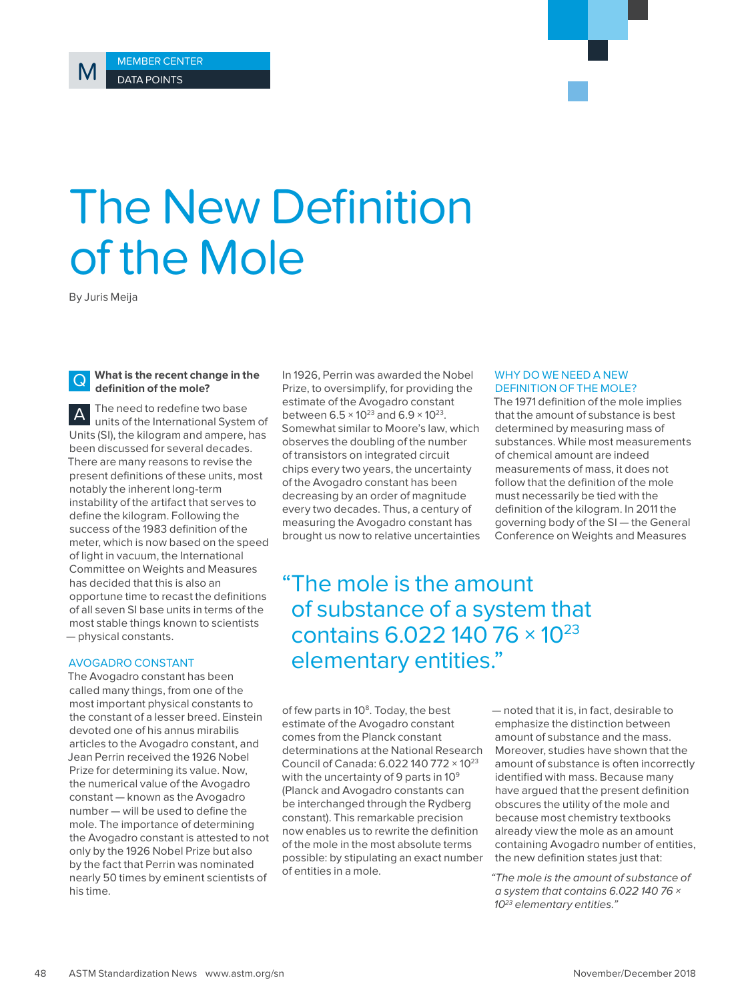# The New Definition of the Mole

By Juris Meija

## Q **What is the recent change in the definition of the mole?**

A The need to redefine two base units of the International System of Units (SI), the kilogram and ampere, has been discussed for several decades. There are many reasons to revise the present definitions of these units, most notably the inherent long-term instability of the artifact that serves to define the kilogram. Following the success of the 1983 definition of the meter, which is now based on the speed of light in vacuum, the International Committee on Weights and Measures has decided that this is also an opportune time to recast the definitions of all seven SI base units in terms of the most stable things known to scientists — physical constants.

## AVOGADRO CONSTANT

The Avogadro constant has been called many things, from one of the most important physical constants to the constant of a lesser breed. Einstein devoted one of his annus mirabilis articles to the Avogadro constant, and Jean Perrin received the 1926 Nobel Prize for determining its value. Now, the numerical value of the Avogadro constant — known as the Avogadro number — will be used to define the mole. The importance of determining the Avogadro constant is attested to not only by the 1926 Nobel Prize but also by the fact that Perrin was nominated nearly 50 times by eminent scientists of his time.

In 1926, Perrin was awarded the Nobel Prize, to oversimplify, for providing the estimate of the Avogadro constant between  $6.5 \times 10^{23}$  and  $6.9 \times 10^{23}$ . Somewhat similar to Moore's law, which observes the doubling of the number of transistors on integrated circuit chips every two years, the uncertainty of the Avogadro constant has been decreasing by an order of magnitude every two decades. Thus, a century of measuring the Avogadro constant has brought us now to relative uncertainties

#### WHY DO WE NEED A NEW DEFINITION OF THE MOLE?

The 1971 definition of the mole implies that the amount of substance is best determined by measuring mass of substances. While most measurements of chemical amount are indeed measurements of mass, it does not follow that the definition of the mole must necessarily be tied with the definition of the kilogram. In 2011 the governing body of the SI — the General Conference on Weights and Measures

"The mole is the amount of substance of a system that contains 6.022 140 76 × 10<sup>23</sup> elementary entities."

of few parts in 10<sup>8</sup>. Today, the best estimate of the Avogadro constant comes from the Planck constant determinations at the National Research Council of Canada: 6.022 140 772 × 1023 with the uncertainty of 9 parts in  $10^9$ (Planck and Avogadro constants can be interchanged through the Rydberg constant). This remarkable precision now enables us to rewrite the definition of the mole in the most absolute terms possible: by stipulating an exact number of entities in a mole.

— noted that it is, in fact, desirable to emphasize the distinction between amount of substance and the mass. Moreover, studies have shown that the amount of substance is often incorrectly identified with mass. Because many have argued that the present definition obscures the utility of the mole and because most chemistry textbooks already view the mole as an amount containing Avogadro number of entities, the new definition states just that:

"The mole is the amount of substance of a system that contains 6.022 140 76 × 10<sup>23</sup> elementary entities."